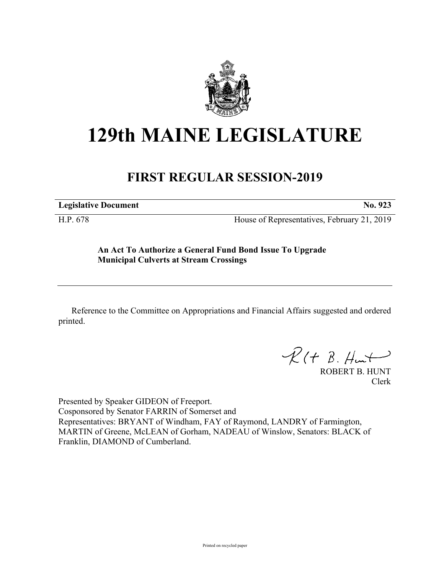

## **129th MAINE LEGISLATURE**

## **FIRST REGULAR SESSION-2019**

**Legislative Document No. 923**

H.P. 678 House of Representatives, February 21, 2019

**An Act To Authorize a General Fund Bond Issue To Upgrade Municipal Culverts at Stream Crossings**

Reference to the Committee on Appropriations and Financial Affairs suggested and ordered printed.

 $R(H B. H<sub>un</sub>+)$ 

ROBERT B. HUNT Clerk

Presented by Speaker GIDEON of Freeport. Cosponsored by Senator FARRIN of Somerset and Representatives: BRYANT of Windham, FAY of Raymond, LANDRY of Farmington, MARTIN of Greene, McLEAN of Gorham, NADEAU of Winslow, Senators: BLACK of Franklin, DIAMOND of Cumberland.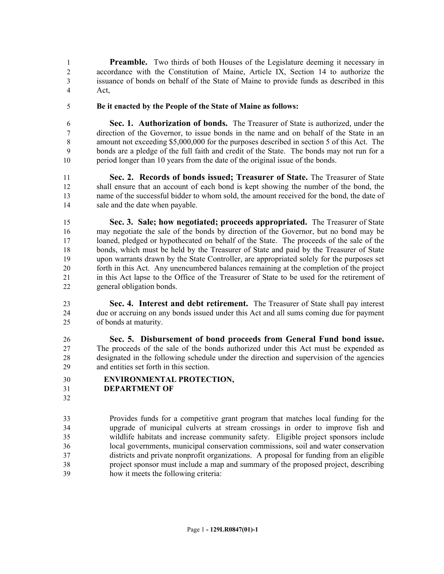**Preamble.** Two thirds of both Houses of the Legislature deeming it necessary in accordance with the Constitution of Maine, Article IX, Section 14 to authorize the issuance of bonds on behalf of the State of Maine to provide funds as described in this Act,

**Be it enacted by the People of the State of Maine as follows:**

 **Sec. 1. Authorization of bonds.** The Treasurer of State is authorized, under the direction of the Governor, to issue bonds in the name and on behalf of the State in an amount not exceeding \$5,000,000 for the purposes described in section 5 of this Act. The bonds are a pledge of the full faith and credit of the State. The bonds may not run for a period longer than 10 years from the date of the original issue of the bonds.

 **Sec. 2. Records of bonds issued; Treasurer of State.** The Treasurer of State shall ensure that an account of each bond is kept showing the number of the bond, the name of the successful bidder to whom sold, the amount received for the bond, the date of sale and the date when payable.

 **Sec. 3. Sale; how negotiated; proceeds appropriated.** The Treasurer of State may negotiate the sale of the bonds by direction of the Governor, but no bond may be loaned, pledged or hypothecated on behalf of the State. The proceeds of the sale of the bonds, which must be held by the Treasurer of State and paid by the Treasurer of State upon warrants drawn by the State Controller, are appropriated solely for the purposes set forth in this Act. Any unencumbered balances remaining at the completion of the project in this Act lapse to the Office of the Treasurer of State to be used for the retirement of general obligation bonds.

 **Sec. 4. Interest and debt retirement.** The Treasurer of State shall pay interest due or accruing on any bonds issued under this Act and all sums coming due for payment of bonds at maturity.

 **Sec. 5. Disbursement of bond proceeds from General Fund bond issue.**  The proceeds of the sale of the bonds authorized under this Act must be expended as designated in the following schedule under the direction and supervision of the agencies and entities set forth in this section.

- **ENVIRONMENTAL PROTECTION,**
- **DEPARTMENT OF**
- 

 Provides funds for a competitive grant program that matches local funding for the upgrade of municipal culverts at stream crossings in order to improve fish and wildlife habitats and increase community safety. Eligible project sponsors include local governments, municipal conservation commissions, soil and water conservation districts and private nonprofit organizations. A proposal for funding from an eligible project sponsor must include a map and summary of the proposed project, describing how it meets the following criteria: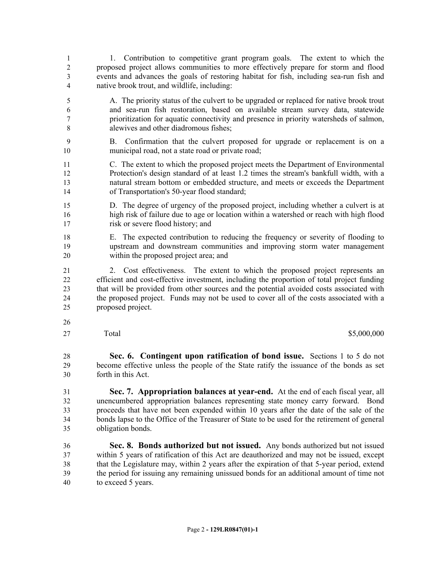- 1. Contribution to competitive grant program goals. The extent to which the proposed project allows communities to more effectively prepare for storm and flood events and advances the goals of restoring habitat for fish, including sea-run fish and native brook trout, and wildlife, including:
- A. The priority status of the culvert to be upgraded or replaced for native brook trout and sea-run fish restoration, based on available stream survey data, statewide prioritization for aquatic connectivity and presence in priority watersheds of salmon, alewives and other diadromous fishes;
- B. Confirmation that the culvert proposed for upgrade or replacement is on a municipal road, not a state road or private road;
- C. The extent to which the proposed project meets the Department of Environmental Protection's design standard of at least 1.2 times the stream's bankfull width, with a natural stream bottom or embedded structure, and meets or exceeds the Department of Transportation's 50-year flood standard;
- D. The degree of urgency of the proposed project, including whether a culvert is at high risk of failure due to age or location within a watershed or reach with high flood 17 risk or severe flood history; and
- E. The expected contribution to reducing the frequency or severity of flooding to upstream and downstream communities and improving storm water management within the proposed project area; and
- 2. Cost effectiveness. The extent to which the proposed project represents an efficient and cost-effective investment, including the proportion of total project funding that will be provided from other sources and the potential avoided costs associated with the proposed project. Funds may not be used to cover all of the costs associated with a proposed project.
- 
- 

## Total \$5,000,000

- **Sec. 6. Contingent upon ratification of bond issue.** Sections 1 to 5 do not become effective unless the people of the State ratify the issuance of the bonds as set forth in this Act.
- **Sec. 7. Appropriation balances at year-end.** At the end of each fiscal year, all unencumbered appropriation balances representing state money carry forward. Bond proceeds that have not been expended within 10 years after the date of the sale of the bonds lapse to the Office of the Treasurer of State to be used for the retirement of general obligation bonds.
- **Sec. 8. Bonds authorized but not issued.** Any bonds authorized but not issued within 5 years of ratification of this Act are deauthorized and may not be issued, except that the Legislature may, within 2 years after the expiration of that 5-year period, extend the period for issuing any remaining unissued bonds for an additional amount of time not to exceed 5 years.